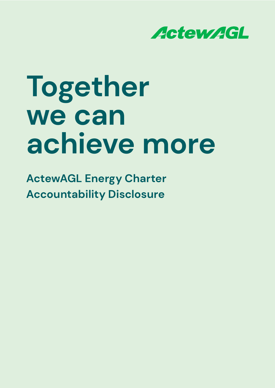

# **Together we can achieve more**

**ActewAGL Energy Charter Accountability Disclosure**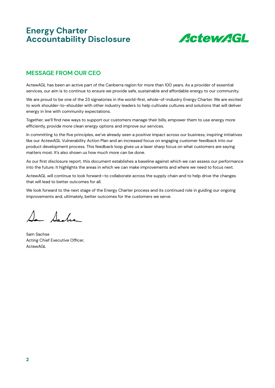

### **MESSAGE FROM OUR CEO**

ActewAGL has been an active part of the Canberra region for more than 100 years. As a provider of essential services, our aim is to continue to ensure we provide safe, sustainable and affordable energy to our community.

We are proud to be one of the 23 signatories in the world-first, whole-of-industry Energy Charter. We are excited to work shoulder-to-shoulder with other industry leaders to help cultivate cultures and solutions that will deliver energy in line with community expectations.

Together, we'll find new ways to support our customers manage their bills, empower them to use energy more efficiently, provide more clean energy options and improve our services.

In committing to the five principles, we've already seen a positive impact across our business, inspiring initiatives like our ActewAGL Vulnerability Action Plan and an increased focus on engaging customer feedback into our product development process. This feedback loop gives us a laser sharp focus on what customers are saying matters most. It's also shown us how much more can be done.

As our first disclosure report, this document establishes a baseline against which we can assess our performance into the future. It highlights the areas in which we can make improvements and where we need to focus next.

ActewAGL will continue to look forward—to collaborate across the supply chain and to help drive the changes that will lead to better outcomes for all.

We look forward to the next stage of the Energy Charter process and its continued role in guiding our ongoing improvements and, ultimately, better outcomes for the customers we serve.

La Sache

Sam Sachse Acting Chief Executive Officer, ActewAGL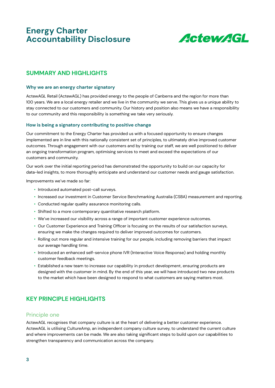

### **SUMMARY AND HIGHLIGHTS**

#### **Why we are an energy charter signatory**

ActewAGL Retail (ActewAGL) has provided energy to the people of Canberra and the region for more than 100 years. We are a local energy retailer and we live in the community we serve. This gives us a unique ability to stay connected to our customers and community. Our history and position also means we have a responsibility to our community and this responsibility is something we take very seriously.

#### **How is being a signatory contributing to positive change**

Our commitment to the Energy Charter has provided us with a focused opportunity to ensure changes implemented are in line with this nationally consistent set of principles, to ultimately drive improved customer outcomes. Through engagement with our customers and by training our staff, we are well positioned to deliver an ongoing transformation program, optimising services to meet and exceed the expectations of our customers and community.

Our work over the initial reporting period has demonstrated the opportunity to build on our capacity for data-led insights, to more thoroughly anticipate and understand our customer needs and gauge satisfaction.

Improvements we've made so far:

- Introduced automated post-call surveys.
- Increased our investment in Customer Service Benchmarking Australia (CSBA) measurement and reporting.
- Conducted regular quality assurance monitoring calls.
- Shifted to a more contemporary quantitative research platform.
- We've increased our visibility across a range of important customer experience outcomes.
- Our Customer Experience and Training Officer is focusing on the results of our satisfaction surveys, ensuring we make the changes required to deliver improved outcomes for customers.
- Rolling out more regular and intensive training for our people, including removing barriers that impact our average handling time.
- Introduced an enhanced self-service phone IVR (Interactive Voice Response) and holding monthly customer feedback meetings.
- Established a new team to increase our capability in product development, ensuring products are designed with the customer in mind. By the end of this year, we will have introduced two new products to the market which have been designed to respond to what customers are saying matters most.

### **KEY PRINCIPLE HIGHLIGHTS**

#### Principle one

ActewAGL recognises that company culture is at the heart of delivering a better customer experience. ActewAGL is utilising CultureAmp, an independent company culture survey, to understand the current culture and where improvements can be made. We are also taking significant steps to build upon our capabilities to strengthen transparency and communication across the company.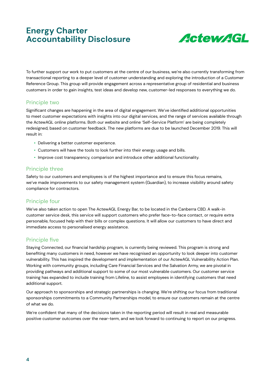

To further support our work to put customers at the centre of our business, we're also currently transforming from transactional reporting to a deeper level of customer understanding and exploring the introduction of a Customer Reference Group. This group will provide engagement across a representative group of residential and business customers in order to gain insights, test ideas and develop new, customer-led responses to everything we do.

### Principle two

Significant changes are happening in the area of digital engagement. We've identified additional opportunities to meet customer expectations with insights into our digital services, and the range of services available through the ActewAGL online platforms. Both our website and online 'Self-Service Platform' are being completely redesigned, based on customer feedback. The new platforms are due to be launched December 2019. This will result in:

- Delivering a better customer experience.
- Customers will have the tools to look further into their energy usage and bills.
- Improve cost transparency, comparison and introduce other additional functionality.

### Principle three

Safety to our customers and employees is of the highest importance and to ensure this focus remains, we've made improvements to our safety management system (Guardian), to increase visibility around safety compliance for contractors.

### Principle four

We've also taken action to open The ActewAGL Energy Bar, to be located in the Canberra CBD. A walk-in customer service desk, this service will support customers who prefer face-to-face contact, or require extra personable, focused help with their bills or complex questions. It will allow our customers to have direct and immediate access to personalised energy assistance.

### Principle five

Staying Connected, our financial hardship program, is currently being reviewed. This program is strong and benefiting many customers in need, however we have recognised an opportunity to look deeper into customer vulnerability. This has inspired the development and implementation of our ActewAGL Vulnerability Action Plan. Working with community groups, including Care Financial Services and the Salvation Army, we are pivotal in providing pathways and additional support to some of our most vulnerable customers. Our customer service training has expanded to include training from Lifeline, to assist employees in identifying customers that need additional support.

Our approach to sponsorships and strategic partnerships is changing. We're shifting our focus from traditional sponsorships commitments to a Community Partnerships model, to ensure our customers remain at the centre of what we do.

We're confident that many of the decisions taken in the reporting period will result in real and measurable positive customer outcomes over the near-term, and we look forward to continuing to report on our progress.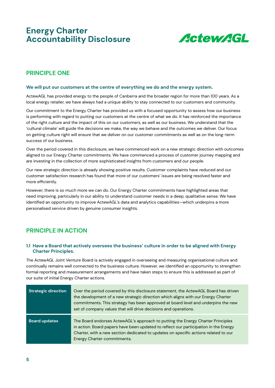

### **PRINCIPLE ONE**

#### **We will put our customers at the centre of everything we do and the energy system.**

ActewAGL has provided energy to the people of Canberra and the broader region for more than 100 years. As a local energy retailer, we have always had a unique ability to stay connected to our customers and community.

Our commitment to the Energy Charter has provided us with a focused opportunity to assess how our business is performing with regard to putting our customers at the centre of what we do. It has reinforced the importance of the right culture and the impact of this on our customers, as well as our business. We understand that the 'cultural climate' will guide the decisions we make, the way we behave and the outcomes we deliver. Our focus on getting culture right will ensure that we deliver on our customer commitments as well as on the long-term success of our business.

Over the period covered in this disclosure, we have commenced work on a new strategic direction with outcomes aligned to our Energy Charter commitments. We have commenced a process of customer journey mapping and are investing in the collection of more sophisticated insights from customers and our people.

Our new strategic direction is already showing positive results. Customer complaints have reduced and our customer satisfaction research has found that more of our customers' issues are being resolved faster and more efficiently.

However, there is so much more we can do. Our Energy Charter commitments have highlighted areas that need improving, particularly in our ability to understand customer needs in a deep, qualitative sense. We have identified an opportunity to improve ActewAGL's data and analytics capabilities—which underpins a more personalised service driven by genuine consumer insights.

### **PRINCIPLE IN ACTION**

#### **1.1 Have a Board that actively oversees the business' culture in order to be aligned with Energy Charter Principles.**

The ActewAGL Joint Venture Board is actively engaged in overseeing and measuring organisational culture and continually remains well connected to the business culture. However, we identified an opportunity to strengthen formal reporting and measurement arrangements and have taken steps to ensure this is addressed as part of our suite of initial Energy Charter actions.

| <b>Strategic direction</b> | Over the period covered by this disclosure statement, the ActewAGL Board has driven<br>the development of a new strategic direction which aligns with our Energy Charter<br>commitments. This strategy has been approved at board level and underpins the new<br>set of company values that will drive decisions and operations. |
|----------------------------|----------------------------------------------------------------------------------------------------------------------------------------------------------------------------------------------------------------------------------------------------------------------------------------------------------------------------------|
| <b>Board updates</b>       | The Board endorses ActewAGL's approach to putting the Energy Charter Principles<br>in action. Board papers have been updated to reflect our participation in the Energy<br>Charter, with a new section dedicated to updates on specific actions related to our<br>Energy Charter commitments.                                    |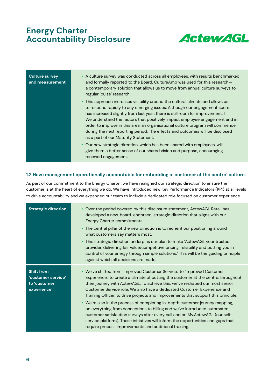

| <b>Culture survey</b><br>and measurement | • A culture survey was conducted across all employees, with results benchmarked<br>and formally reported to the Board. CultureAmp was used for this research-<br>a contemporary solution that allows us to move from annual culture surveys to<br>regular 'pulse' research.                                                                                                                                                                                                                                                        |
|------------------------------------------|------------------------------------------------------------------------------------------------------------------------------------------------------------------------------------------------------------------------------------------------------------------------------------------------------------------------------------------------------------------------------------------------------------------------------------------------------------------------------------------------------------------------------------|
|                                          | • This approach increases visibility around the cultural climate and allows us<br>to respond rapidly to any emerging issues. Although our engagement score<br>has increased slightly from last year, there is still room for improvement.<br>We understand the factors that positively impact employee engagement and in<br>order to improve in this area, an organisational culture program will commence<br>during the next reporting period. The effects and outcomes will be disclosed<br>as a part of our Maturity Statement. |
|                                          | Our new strategic direction, which has been shared with employees, will<br>٠<br>give them a better sense of our shared vision and purpose, encouraging<br>renewed engagement.                                                                                                                                                                                                                                                                                                                                                      |

#### **1.2 Have management operationally accountable for embedding a 'customer at the centre' culture.**

As part of our commitment to the Energy Charter, we have realigned our strategic direction to ensure the customer is at the heart of everything we do. We have introduced new Key Performance Indicators (KPI) at all levels to drive accountability and we expanded our team to include a dedicated role focused on customer experience.

| <b>Strategic direction</b>                                             | • Over the period covered by this disclosure statement, ActewAGL Retail has<br>developed a new, board-endorsed, strategic direction that aligns with our<br>Energy Charter commitments.<br>• The central pillar of the new direction is to reorient our positioning around<br>what customers say matters most.<br>• This strategic direction underpins our plan to make 'ActewAGL your trusted<br>provider, delivering fair value/competitive pricing, reliability and putting you in<br>control of your energy through simple solutions.' This will be the guiding principle<br>against which all decisions are made.                                                                                                                                                                                 |
|------------------------------------------------------------------------|--------------------------------------------------------------------------------------------------------------------------------------------------------------------------------------------------------------------------------------------------------------------------------------------------------------------------------------------------------------------------------------------------------------------------------------------------------------------------------------------------------------------------------------------------------------------------------------------------------------------------------------------------------------------------------------------------------------------------------------------------------------------------------------------------------|
| <b>Shift from</b><br>'customer service'<br>to 'customer<br>experience' | • We've shifted from 'Improved Customer Service,' to 'Improved Customer<br>Experience,' to create a climate of putting the customer at the centre, throughout<br>their journey with ActewAGL. To achieve this, we've reshaped our most senior<br>Customer Service role. We also have a dedicated Customer Experience and<br>Training Officer, to drive projects and improvements that support this principle.<br>• We're also in the process of completing in-depth customer journey mapping,<br>on everything from connections to billing and we've introduced automated<br>customer satisfaction surveys after every call and on My.ActewAGL (our self-<br>service platform). These initiatives will inform the opportunities and gaps that<br>require process improvements and additional training. |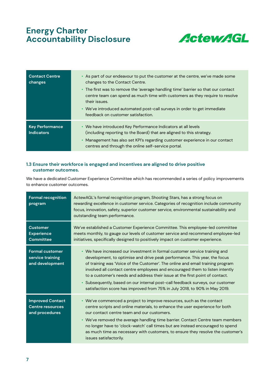

| <b>Contact Centre</b><br>changes            | • As part of our endeavour to put the customer at the centre, we've made some<br>changes to the Contact Centre.<br>• The first was to remove the 'average handling time' barrier so that our contact<br>centre team can spend as much time with customers as they require to resolve<br>their issues.<br>• We've introduced automated post-call surveys in order to get immediate<br>feedback on customer satisfaction. |
|---------------------------------------------|-------------------------------------------------------------------------------------------------------------------------------------------------------------------------------------------------------------------------------------------------------------------------------------------------------------------------------------------------------------------------------------------------------------------------|
| <b>Key Performance</b><br><b>Indicators</b> | • We have introduced Key Performance Indicators at all levels<br>(including reporting to the Board) that are aligned to this strategy.<br>Management has also set KPI's regarding customer experience in our contact<br>centres and through the online self-service portal.                                                                                                                                             |

#### **1.3 Ensure their workforce is engaged and incentives are aligned to drive positive customer outcomes.**

We have a dedicated Customer Experience Committee which has recommended a series of policy improvements to enhance customer outcomes.

| <b>Formal recognition</b><br>program                                 | ActewAGL's formal recognition program, Shooting Stars, has a strong focus on<br>rewarding excellence in customer service. Categories of recognition include community<br>focus, innovation, safety, superior customer service, environmental sustainability and<br>outstanding team performance.                                                                                                                                                                                                                                                                          |
|----------------------------------------------------------------------|---------------------------------------------------------------------------------------------------------------------------------------------------------------------------------------------------------------------------------------------------------------------------------------------------------------------------------------------------------------------------------------------------------------------------------------------------------------------------------------------------------------------------------------------------------------------------|
| <b>Customer</b><br><b>Experience</b><br><b>Committee</b>             | We've established a Customer Experience Committee. This employee-led committee<br>meets monthly, to gauge our levels of customer service and recommend employee-led<br>initiatives, specifically designed to positively impact on customer experience.                                                                                                                                                                                                                                                                                                                    |
| <b>Formal customer</b><br>service training<br>and development        | • We have increased our investment in formal customer service training and<br>development, to optimise and drive peak performance. This year, the focus<br>of training was 'Voice of the Customer'. The online and email training program<br>involved all contact centre employees and encouraged them to listen intently<br>to a customer's needs and address their issue at the first point of contact.<br>• Subsequently, based on our internal post-call feedback surveys, our customer<br>satisfaction score has improved from 75% in July 2018, to 90% in May 2019. |
| <b>Improved Contact</b><br><b>Centre resources</b><br>and procedures | • We've commenced a project to improve resources, such as the contact<br>centre scripts and online materials, to enhance the user experience for both<br>our contact centre team and our customers.<br>• We've removed the average handling time barrier. Contact Centre team members<br>no longer have to 'clock-watch' call times but are instead encouraged to spend<br>as much time as necessary with customers, to ensure they resolve the customer's<br>issues satisfactorily.                                                                                      |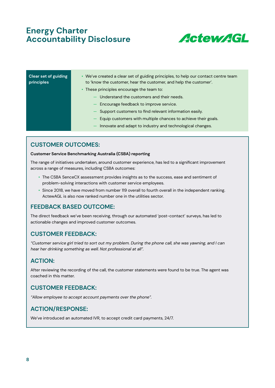

| Clear set of guiding<br>principles | • We've created a clear set of guiding principles, to help our contact centre team<br>to 'know the customer, hear the customer, and help the customer'. |
|------------------------------------|---------------------------------------------------------------------------------------------------------------------------------------------------------|
|                                    | • These principles encourage the team to:                                                                                                               |
|                                    | Understand the customers and their needs.                                                                                                               |
|                                    | Encourage feedback to improve service.                                                                                                                  |
|                                    | Support customers to find relevant information easily.                                                                                                  |
|                                    | Equip customers with multiple chances to achieve their goals.                                                                                           |
|                                    | Innovate and adapt to industry and technological changes.                                                                                               |
|                                    |                                                                                                                                                         |
| <b>CUSTOMER OUTCOMES:</b>          |                                                                                                                                                         |

#### **Customer Service Benchmarking Australia (CSBA) reporting**

The range of initiatives undertaken, around customer experience, has led to a significant improvement across a range of measures, including CSBA outcomes:

- The CSBA SenceCX assessment provides insights as to the success, ease and sentiment of problem-solving interactions with customer service employees.
- Since 2018, we have moved from number 119 overall to fourth overall in the independent ranking. ActewAGL is also now ranked number one in the utilities sector.

#### **FEEDBACK BASED OUTCOME:**

The direct feedback we've been receiving, through our automated 'post-contact' surveys, has led to actionable changes and improved customer outcomes.

#### **CUSTOMER FEEDBACK:**

"Customer service girl tried to sort out my problem. During the phone call, she was yawning, and I can hear her drinking something as well. Not professional at all".

### **ACTION:**

After reviewing the recording of the call, the customer statements were found to be true. The agent was coached in this matter.

### **CUSTOMER FEEDBACK:**

"Allow employee to accept account payments over the phone".

### **ACTION/RESPONSE:**

We've introduced an automated IVR, to accept credit card payments, 24/7.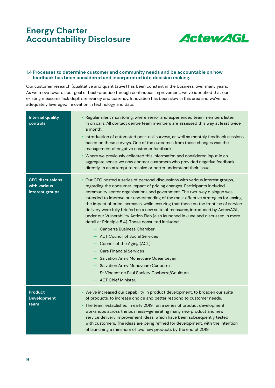

#### **1.4 Processes to determine customer and community needs and be accountable on how feedback has been considered and incorporated into decision making.**

Our customer research (qualitative and quantitative) has been constant in the business, over many years. As we move towards our goal of best-practice through continuous improvement, we've identified that our existing measures lack depth, relevancy and currency. Innovation has been slow in this area and we've not adequately leveraged innovation in technology and data.

| <b>Internal quality</b><br>controls                       | Regular silent monitoring, where senior and experienced team members listen<br>in on calls. All contact centre team members are assessed this way at least twice<br>a month.<br>Introduction of automated post-call surveys, as well as monthly feedback sessions,<br>based on these surveys. One of the outcomes from these changes was the<br>management of negative customer feedback.<br>• Where we previously collected this information and considered input in an<br>aggregate sense, we now contact customers who provided negative feedback<br>directly, in an attempt to resolve or better understand their issue.                                                                                                                                                                                                                                                                                                                          |
|-----------------------------------------------------------|-------------------------------------------------------------------------------------------------------------------------------------------------------------------------------------------------------------------------------------------------------------------------------------------------------------------------------------------------------------------------------------------------------------------------------------------------------------------------------------------------------------------------------------------------------------------------------------------------------------------------------------------------------------------------------------------------------------------------------------------------------------------------------------------------------------------------------------------------------------------------------------------------------------------------------------------------------|
| <b>CEO discussions</b><br>with various<br>interest groups | • Our CEO hosted a series of personal discussions with various interest groups,<br>regarding the consumer impact of pricing changes. Participants included<br>community sector organisations and government. The two-way dialogue was<br>intended to improve our understanding of the most effective strategies for easing<br>the impact of price increases, while ensuring that those on the frontline of service<br>delivery were fully briefed on a new suite of measures, introduced by ActewAGL,<br>under our Vulnerability Action Plan (also launched in June and discussed in more<br>detail at Principle 5.4). Those consulted included:<br>- Canberra Business Chamber<br>- ACT Council of Social Services<br>- Council of the Aging (ACT)<br><b>Care Financial Services</b><br>- Salvation Army Moneycare Queanbeyan<br>- Salvation Army Moneycare Canberra<br>- St Vincent de Paul Society Canberra/Goulburn<br><b>ACT Chief Minister.</b> |
| <b>Product</b><br><b>Development</b><br>team              | • We've increased our capability in product development, to broaden our suite<br>of products, to increase choice and better respond to customer needs.<br>• The team, established in early 2019, ran a series of product development<br>workshops across the business-generating many new product and new<br>service delivery improvement ideas, which have been subsequently tested<br>with customers. The ideas are being refined for development, with the intention<br>of launching a minimum of two new products by the end of 2019.                                                                                                                                                                                                                                                                                                                                                                                                             |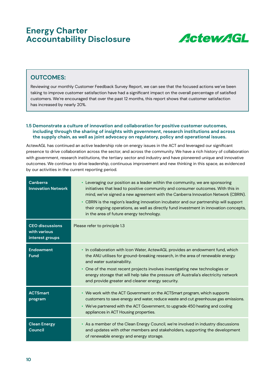

### **OUTCOMES:**

Reviewing our monthly Customer Feedback Survey Report, we can see that the focused actions we've been taking to improve customer satisfaction have had a significant impact on the overall percentage of satisfied customers. We're encouraged that over the past 12 months, this report shows that customer satisfaction has increased by nearly 20%.

#### **1.5 Demonstrate a culture of innovation and collaboration for positive customer outcomes, including through the sharing of insights with government, research institutions and across the supply chain, as well as joint advocacy on regulatory, policy and operational issues.**

ActewAGL has continued an active leadership role on energy issues in the ACT and leveraged our significant presence to drive collaboration across the sector, and across the community. We have a rich history of collaboration with government, research institutions, the tertiary sector and industry and have pioneered unique and innovative outcomes. We continue to drive leadership, continuous improvement and new thinking in this space, as evidenced by our activities in the current reporting period.

| Canberra<br><b>Innovation Network</b>                     | • Leveraging our position as a leader within the community, we are sponsoring<br>initiatives that lead to positive community and consumer outcomes. With this in<br>mind, we've signed a new agreement with the Canberra Innovation Network (CBRIN).<br>• CBRIN is the region's leading innovation incubator and our partnership will support<br>their ongoing operations, as well as directly fund investment in innovation concepts,<br>in the area of future energy technology. |
|-----------------------------------------------------------|------------------------------------------------------------------------------------------------------------------------------------------------------------------------------------------------------------------------------------------------------------------------------------------------------------------------------------------------------------------------------------------------------------------------------------------------------------------------------------|
| <b>CEO discussions</b><br>with various<br>interest groups | Please refer to principle 1.3                                                                                                                                                                                                                                                                                                                                                                                                                                                      |
| <b>Endowment</b><br><b>Fund</b>                           | • In collaboration with Icon Water, ActewAGL provides an endowment fund, which<br>the ANU utilises for ground-breaking research, in the area of renewable energy<br>and water sustainability.<br>• One of the most recent projects involves investigating new technologies or<br>energy storage that will help take the pressure off Australia's electricity network<br>and provide greater and cleaner energy security.                                                           |
| <b>ACTSmart</b><br>program                                | • We work with the ACT Government on the ACTSmart program, which supports<br>customers to save energy and water, reduce waste and cut greenhouse gas emissions.<br>• We've partnered with the ACT Government, to upgrade 450 heating and cooling<br>appliances in ACT Housing properties.                                                                                                                                                                                          |
| <b>Clean Energy</b><br><b>Council</b>                     | • As a member of the Clean Energy Council, we're involved in industry discussions<br>and updates with other members and stakeholders, supporting the development<br>of renewable energy and energy storage.                                                                                                                                                                                                                                                                        |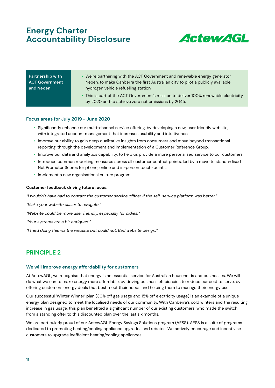

**Partnership with ACT Government and Neoen**

- We're partnering with the ACT Government and renewable energy generator Neoen, to make Canberra the first Australian city to pilot a publicly available hydrogen vehicle refuelling station.
- This is part of the ACT Government's mission to deliver 100% renewable electricity by 2020 and to achieve zero net emissions by 2045.

#### **Focus areas for July 2019 - June 2020**

- Significantly enhance our multi-channel service offering, by developing a new, user friendly website, with integrated account management that increases usability and intuitiveness.
- Improve our ability to gain deep qualitative insights from consumers and move beyond transactional reporting, through the development and implementation of a Customer Reference Group.
- Improve our data and analytics capability, to help us provide a more personalised service to our customers.
- Introduce common reporting measures across all customer contact points, led by a move to standardised Net Promoter Scores for phone, online and in-person touch-points.
- Implement a new organisational culture program.

#### **Customer feedback driving future focus:**

"I wouldn't have had to contact the customer service officer if the self-service platform was better."

"Make your website easier to navigate."

"Website could be more user friendly, especially for oldies!"

"Your systems are a bit antiqued."

"I tried doing this via the website but could not. Bad website design."

### **PRINCIPLE 2**

#### **We will improve energy affordability for customers**

At ActewAGL, we recognise that energy is an essential service for Australian households and businesses. We will do what we can to make energy more affordable, by driving business efficiencies to reduce our cost to serve, by offering customers energy deals that best meet their needs and helping them to manage their energy use.

Our successful 'Winter Winner' plan (30% off gas usage and 15% off electricity usage) is an example of a unique energy plan designed to meet the localised needs of our community. With Canberra's cold winters and the resulting increase in gas usage, this plan benefited a significant number of our existing customers, who made the switch from a standing offer to this discounted plan over the last six months.

We are particularly proud of our ActewAGL Energy Savings Solutions program (AESS). AESS is a suite of programs dedicated to promoting heating/cooling appliance upgrades and rebates. We actively encourage and incentivise customers to upgrade inefficient heating/cooling appliances.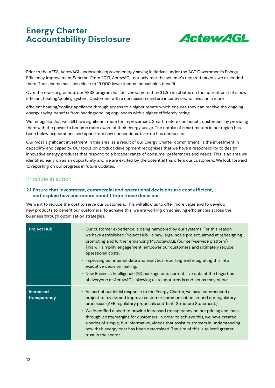

Prior to the AESS, ActewAGL undertook approved energy saving initiatives under the ACT Government's Energy Efficiency Improvement Scheme. From 2013, ActewAGL not only met the scheme's required targets, we exceeded them. The scheme has seen close to 19 000 lower income households benefit.

Over the reporting period, our AESS program has delivered more than \$1.2m in rebates on the upfront cost of a new efficient heating/cooling system. Customers with a concession card are incentivised to invest in a more

efficient heating/cooling appliance through access to a higher rebate which ensures they can receive the ongoing energy saving benefits from heating/cooling appliances with a higher efficiency rating.

We recognise that we still have significant room for improvement. Smart meters can benefit customers, by providing them with the power to become more aware of their energy usage. The uptake of smart meters in our region has been below expectations and apart from new connections, take-up has decreased.

Our most significant investment in this area, as a result of our Energy Charter commitment, is the investment in capability and capacity. Our focus on product development recognises that we have a responsibility to design innovative energy products that respond to a broader range of consumer preferences and needs. This is an area we identified early on as an opportunity and we are excited by the potential this offers our customers. We look forward to reporting on our progress in future updates.

### Principle in action

#### **2.1 Ensure that investment, commercial and operational decisions are cost efficient, and explain how customers benefit from these decisions.**

We want to reduce the cost to serve our customers. This will allow us to offer more value and to develop new products to benefit our customers. To achieve this, we are working on achieving efficiencies across the business through optimisation strategies.

| <b>Project Hub</b>               | • Our customer experience is being hampered by our systems. For this reason,<br>we have established Project Hub-a new large-scale project, aimed at redesigning,<br>promoting and further enhancing My.ActewAGL (our self-service platform).<br>This will simplify engagement, empower our customers and ultimately reduce<br>operational costs.<br>• Improving our internal data and analytics reporting and integrating this into<br>executive decision making.<br>• New Business Intelligence (BI) package puts current, live data at the fingertips<br>of everyone at ActewAGL, allowing us to spot trends and act as they occur. |
|----------------------------------|---------------------------------------------------------------------------------------------------------------------------------------------------------------------------------------------------------------------------------------------------------------------------------------------------------------------------------------------------------------------------------------------------------------------------------------------------------------------------------------------------------------------------------------------------------------------------------------------------------------------------------------|
| <b>Increased</b><br>transparency | • As part of our initial response to the Energy Charter, we have commenced a<br>project to review and improve customer communication around our regulatory<br>processes (AER regulatory proposals and Tariff Structure Statement.)<br>• We identified a need to provide increased transparency on our pricing and 'pass<br>through' costs/margins for customers. In order to achieve this, we have created<br>a series of simple, but informative, videos that assist customers in understanding<br>how their energy cost has been determined. The aim of this is to instil greater<br>trust in the sector.                           |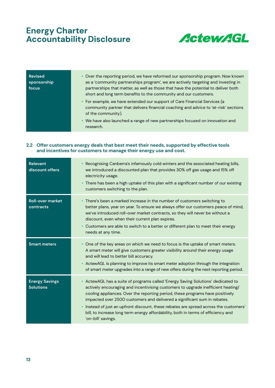

| <b>Revised</b><br>sponsorship<br>focus | • Over the reporting period, we have reformed our sponsorship program. Now known<br>as a 'community partnerships program', we are actively targeting and investing in<br>partnerships that matter, as well as those that have the potential to deliver both<br>short and long term benefits to the community and our customers. |
|----------------------------------------|---------------------------------------------------------------------------------------------------------------------------------------------------------------------------------------------------------------------------------------------------------------------------------------------------------------------------------|
|                                        | • For example, we have extended our support of Care Financial Services (a<br>community partner that delivers financial coaching and advice to 'at-risk' sections<br>of the community).<br>• We have also launched a range of new partnerships focused on innovation and<br>research.                                            |

#### **2.2 Offer customers energy deals that best meet their needs, supported by effective tools and incentives for customers to manage their energy use and cost.**

| <b>Relevant</b><br>discount offers        | • Recognising Canberra's infamously cold winters and the associated heating bills,<br>we introduced a discounted plan that provides 30% off gas usage and 15% off<br>electricity usage.<br>• There has been a high uptake of this plan with a significant number of our existing<br>customers switching to the plan.                                                                                                                                                                                                                  |
|-------------------------------------------|---------------------------------------------------------------------------------------------------------------------------------------------------------------------------------------------------------------------------------------------------------------------------------------------------------------------------------------------------------------------------------------------------------------------------------------------------------------------------------------------------------------------------------------|
| <b>Roll-over market</b><br>contracts      | • There's been a marked increase in the number of customers switching to<br>better plans, year on year. To ensure we always offer our customers peace of mind,<br>we've introduced roll-over market contracts, so they will never be without a<br>discount, even when their current plan expires.<br>• Customers are able to switch to a better or different plan to meet their energy<br>needs at any time.                                                                                                                          |
| <b>Smart meters</b>                       | • One of the key areas on which we need to focus is the uptake of smart meters.<br>A smart meter will give customers greater visibility around their energy usage<br>and will lead to better bill accuracy.<br>• ActewAGL is planning to improve its smart meter adoption through the integration<br>of smart meter upgrades into a range of new offers during the next reporting period.                                                                                                                                             |
| <b>Energy Savings</b><br><b>Solutions</b> | • ActewAGL has a suite of programs called 'Energy Saving Solutions' dedicated to<br>actively encouraging and incentivising customers to upgrade inefficient heating/<br>cooling appliances. Over the reporting period, these programs have positively<br>impacted over 2500 customers and delivered a significant sum in rebates.<br>• Instead of just an upfront discount, these rebates are spread across the customers'<br>bill, to increase long term energy affordability, both in terms of efficiency and<br>'on-bill' savings. |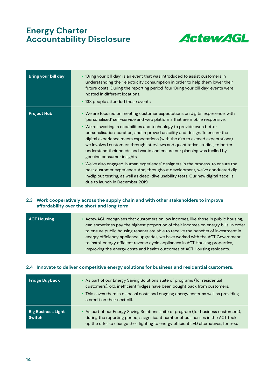

| Bring your bill day | • 'Bring your bill day' is an event that was introduced to assist customers in<br>understanding their electricity consumption in order to help them lower their<br>future costs. During the reporting period, four 'Bring your bill day' events were<br>hosted in different locations.<br>• 138 people attended these events.                                                                                                                                                                                                                                                                                                                                                                                                                                                                                                                                                            |
|---------------------|------------------------------------------------------------------------------------------------------------------------------------------------------------------------------------------------------------------------------------------------------------------------------------------------------------------------------------------------------------------------------------------------------------------------------------------------------------------------------------------------------------------------------------------------------------------------------------------------------------------------------------------------------------------------------------------------------------------------------------------------------------------------------------------------------------------------------------------------------------------------------------------|
| <b>Project Hub</b>  | • We are focused on meeting customer expectations on digital experience, with<br>'personalised' self-service and web platforms that are mobile responsive.<br>• We're investing in capabilities and technology to provide even better<br>personalisation, curation, and improved usability and design. To ensure the<br>digital experience meets expectations (with the aim to exceed expectations),<br>we involved customers through interviews and quantitative studies, to better<br>understand their needs and wants and ensure our planning was fuelled by<br>genuine consumer insights.<br>• We've also engaged 'human experience' designers in the process, to ensure the<br>best customer experience. And, throughout development, we've conducted dip<br>in/dip out testing, as well as deep-dive usability tests. Our new digital 'face' is<br>due to launch in December 2019. |

#### **2.3 Work cooperatively across the supply chain and with other stakeholders to improve affordability over the short and long term.**

| • ActewAGL recognises that customers on low incomes, like those in public housing,  |
|-------------------------------------------------------------------------------------|
| can sometimes pay the highest proportion of their incomes on energy bills. In order |
| to ensure public housing tenants are able to receive the benefits of investment in  |
| energy efficiency appliance upgrades, we have worked with the ACT Government        |
| to install energy efficient reverse cycle appliances in ACT Housing properties,     |
| improving the energy costs and health outcomes of ACT Housing residents.            |
|                                                                                     |

#### **2.4 Innovate to deliver competitive energy solutions for business and residential customers.**

| <b>Fridge Buyback</b>                      | • As part of our Energy Saving Solutions suite of programs (for residential<br>customers), old, inefficient fridges have been bought back from customers.<br>• This saves them in disposal costs and ongoing energy costs, as well as providing<br>a credit on their next bill. |
|--------------------------------------------|---------------------------------------------------------------------------------------------------------------------------------------------------------------------------------------------------------------------------------------------------------------------------------|
| <b>Big Business Light</b><br><b>Switch</b> | • As part of our Energy Saving Solutions suite of program (for business customers),<br>during the reporting period, a significant number of businesses in the ACT took<br>up the offer to change their lighting to energy efficient LED alternatives, for free.                 |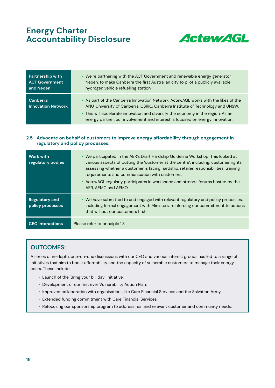

| Partnership with                      | • We're partnering with the ACT Government and renewable energy generator                                                                                                                                                                                                                                                                 |
|---------------------------------------|-------------------------------------------------------------------------------------------------------------------------------------------------------------------------------------------------------------------------------------------------------------------------------------------------------------------------------------------|
| <b>ACT Government</b>                 | Neoen, to make Canberra the first Australian city to pilot a publicly available                                                                                                                                                                                                                                                           |
| and Neoen                             | hydrogen vehicle refuelling station.                                                                                                                                                                                                                                                                                                      |
| Canberra<br><b>Innovation Network</b> | • As part of the Canberra Innovation Network, ActewAGL works with the likes of the<br>ANU, University of Canberra, CSIRO, Canberra Institute of Technology and UNSW.<br>• This will accelerate innovation and diversify the economy in the region. As an<br>energy partner, our involvement and interest is focused on energy innovation. |

#### **2.5 Advocate on behalf of customers to improve energy affordability through engagement in regulatory and policy processes.**

| Work with<br>regulatory bodies            | • We participated in the AER's Draft Hardship Guideline Workshop. This looked at<br>various aspects of putting the 'customer at the centre', including; customer rights,<br>assessing whether a customer is facing hardship, retailer responsibilities, training<br>requirements and communication with customers.<br>• ActewAGL regularly participates in workshops and attends forums hosted by the<br>AER, AEMC and AEMO. |
|-------------------------------------------|------------------------------------------------------------------------------------------------------------------------------------------------------------------------------------------------------------------------------------------------------------------------------------------------------------------------------------------------------------------------------------------------------------------------------|
| <b>Regulatory and</b><br>policy processes | • We have submitted to and engaged with relevant regulatory and policy processes,<br>including formal engagement with Ministers, reinforcing our commitment to actions<br>that will put our customers first.                                                                                                                                                                                                                 |
| <b>CEO</b> Interactions                   | Please refer to principle 1.3                                                                                                                                                                                                                                                                                                                                                                                                |

### **OUTCOMES:**

A series of in-depth, one-on-one discussions with our CEO and various interest groups has led to a range of initiatives that aim to boost affordability and the capacity of vulnerable customers to manage their energy costs. These include:

- Launch of the 'Bring your bill day' initiative.
- Development of our first ever Vulnerability Action Plan.
- Improved collaboration with organisations like Care Financial Services and the Salvation Army.
- Extended funding commitment with Care Financial Services.
- Refocusing our sponsorship program to address real and relevant customer and community needs.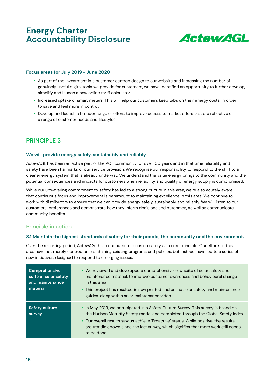

#### **Focus areas for July 2019 - June 2020**

- As part of the investment in a customer centred design to our website and increasing the number of genuinely useful digital tools we provide for customers, we have identified an opportunity to further develop, simplify and launch a new online tariff calculator.
- Increased uptake of smart meters. This will help our customers keep tabs on their energy costs, in order to save and feel more in control.
- Develop and launch a broader range of offers, to improve access to market offers that are reflective of a range of customer needs and lifestyles.

### **PRINCIPLE 3**

#### **We will provide energy safely, sustainably and reliably**

ActewAGL has been an active part of the ACT community for over 100 years and in that time reliability and safety have been hallmarks of our service provision. We recognise our responsibility to respond to the shift to a cleaner energy system that is already underway. We understand the value energy brings to the community and the potential consequences and impacts for customers when reliability and quality of energy supply is compromised.

While our unwavering commitment to safety has led to a strong culture in this area, we're also acutely aware that continuous focus and improvement is paramount to maintaining excellence in this area. We continue to work with distributors to ensure that we can provide energy safely, sustainably and reliably. We will listen to our customers' preferences and demonstrate how they inform decisions and outcomes, as well as communicate community benefits.

#### Principle in action

#### **3.1 Maintain the highest standards of safety for their people, the community and the environment.**

Over the reporting period, ActewAGL has continued to focus on safety as a core principle. Our efforts in this area have not merely centred on maintaining existing programs and policies, but instead, have led to a series of new initiatives, designed to respond to emerging issues.

| Comprehensive<br>suite of solar safety<br>and maintenance<br>material | • We reviewed and developed a comprehensive new suite of solar safety and<br>maintenance material, to improve customer awareness and behavioural change<br>in this area.<br>• This project has resulted in new printed and online solar safety and maintenance<br>guides, along with a solar maintenance video.                                                     |
|-----------------------------------------------------------------------|---------------------------------------------------------------------------------------------------------------------------------------------------------------------------------------------------------------------------------------------------------------------------------------------------------------------------------------------------------------------|
| Safety culture<br>survey                                              | • In May 2019, we participated in a Safety Culture Survey. This survey is based on<br>the Hudson Maturity Safety model and completed through the Global Safety Index.<br>. Our overall results saw us achieve 'Proactive' status. While positive, the results<br>are trending down since the last survey, which signifies that more work still needs<br>to be done. |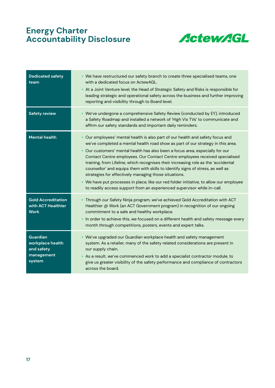

| <b>Dedicated safety</b><br>team                                    | • We have restructured our safety branch to create three specialised teams, one<br>with a dedicated focus on ActewAGL.<br>• At a Joint Venture level, the Head of Strategic Safety and Risks is responsible for<br>leading strategic and operational safety across the business and further improving<br>reporting and visibility through to Board level.                                                                                                                                                                                                                                                                                                                                                                                 |
|--------------------------------------------------------------------|-------------------------------------------------------------------------------------------------------------------------------------------------------------------------------------------------------------------------------------------------------------------------------------------------------------------------------------------------------------------------------------------------------------------------------------------------------------------------------------------------------------------------------------------------------------------------------------------------------------------------------------------------------------------------------------------------------------------------------------------|
| <b>Safety review</b>                                               | • We've undergone a comprehensive Safety Review (conducted by EY), introduced<br>a Safety Roadmap and installed a network of 'High Vis TVs' to communicate and<br>affirm our safety standards and important daily reminders.                                                                                                                                                                                                                                                                                                                                                                                                                                                                                                              |
| <b>Mental health</b>                                               | • Our employees' mental health is also part of our health and safety focus and<br>we've completed a mental health road show as part of our strategy in this area.<br>• Our customers' mental health has also been a focus area, especially for our<br>Contact Centre employees. Our Contact Centre employees received specialised<br>training, from Lifeline, which recognises their increasing role as the 'accidental<br>counsellor' and equips them with skills to identify signs of stress, as well as<br>strategies for effectively managing those situations.<br>• We have put processes in place, like our red folder initiative, to allow our employee<br>to readily access support from an experienced supervisor while in-call. |
| <b>Gold Accreditation</b><br>with ACT Healthier<br><b>Work</b>     | • Through our Safety Ninja program, we've achieved Gold Accreditation with ACT<br>Healthier @ Work (an ACT Government program) in recognition of our ongoing<br>commitment to a safe and healthy workplace.<br>In order to achieve this, we focused on a different health and safety message every<br>month through competitions, posters, events and expert talks.                                                                                                                                                                                                                                                                                                                                                                       |
| Guardian<br>workplace health<br>and safety<br>management<br>system | • We've upgraded our Guardian workplace health and safety management<br>system. As a retailer, many of the safety related considerations are present in<br>our supply chain.<br>• As a result, we've commenced work to add a specialist contractor module, to<br>give us greater visibility of the safety performance and compliance of contractors<br>across the board.                                                                                                                                                                                                                                                                                                                                                                  |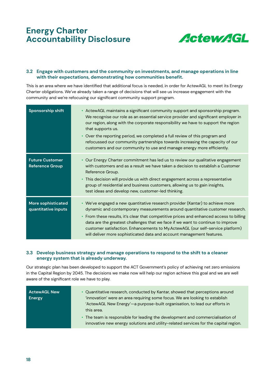

#### **3.2 Engage with customers and the community on investments, and manage operations in line with their expectations, demonstrating how communities benefit.**

This is an area where we have identified that additional focus is needed, in order for ActewAGL to meet its Energy Charter obligations. We've already taken a range of decisions that will see us increase engagement with the community and we're refocusing our significant community support program.

| <b>Sponsorship shift</b>                         | • ActewAGL maintains a significant community support and sponsorship program.<br>We recognise our role as an essential service provider and significant employer in<br>our region, along with the corporate responsibility we have to support the region<br>that supports us.<br>• Over the reporting period, we completed a full review of this program and<br>refocussed our community partnerships towards increasing the capacity of our<br>customers and our community to use and manage energy more efficiently. |
|--------------------------------------------------|------------------------------------------------------------------------------------------------------------------------------------------------------------------------------------------------------------------------------------------------------------------------------------------------------------------------------------------------------------------------------------------------------------------------------------------------------------------------------------------------------------------------|
| <b>Future Customer</b><br><b>Reference Group</b> | • Our Energy Charter commitment has led us to review our qualitative engagement<br>with customers and as a result we have taken a decision to establish a Customer<br>Reference Group.<br>• This decision will provide us with direct engagement across a representative<br>group of residential and business customers, allowing us to gain insights,<br>test ideas and develop new, customer-led thinking.                                                                                                           |
| More sophisticated<br>quantitative inputs        | • We've engaged a new quantitative research provider (Kantar) to achieve more<br>dynamic and contemporary measurements around quantitative customer research.<br>• From these results, it's clear that competitive prices and enhanced access to billing<br>data are the greatest challenges that we face if we want to continue to improve<br>customer satisfaction. Enhancements to My.ActewAGL (our self-service platform)<br>will deliver more sophisticated data and account management features.                 |

#### **3.3 Develop business strategy and manage operations to respond to the shift to a cleaner energy system that is already underway.**

Our strategic plan has been developed to support the ACT Government's policy of achieving net zero emissions in the Capital Region by 2045. The decisions we make now will help our region achieve this goal and we are well aware of the significant role we have to play.

| <b>ActewAGL New</b><br>Energy | Quantitative research, conducted by Kantar, showed that perceptions around<br>'innovation' were an area requiring some focus. We are looking to establish<br>'ActewAGL New Energy'-a purpose-built organisation, to lead our efforts in<br>this area. |
|-------------------------------|-------------------------------------------------------------------------------------------------------------------------------------------------------------------------------------------------------------------------------------------------------|
|                               | • The team is responsible for leading the development and commercialisation of<br>innovative new energy solutions and utility-related services for the capital region.                                                                                |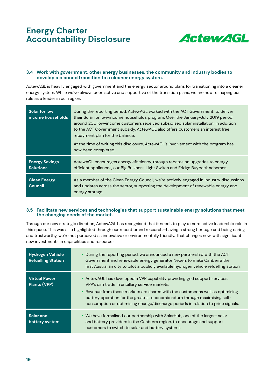

#### **3.4 Work with government, other energy businesses, the community and industry bodies to develop a planned transition to a cleaner energy system.**

ActewAGL is heavily engaged with government and the energy sector around plans for transitioning into a cleaner energy system. While we've always been active and supportive of the transition plans, we are now reshaping our role as a leader in our region.

| Solar for low<br>income households        | During the reporting period, ActewAGL worked with the ACT Government, to deliver<br>their Solar for low-income households program. Over the January-July 2019 period,<br>around 200 low-income customers received subsidised solar installation. In addition<br>to the ACT Government subsidy, ActewAGL also offers customers an interest free<br>repayment plan for the balance.<br>At the time of writing this disclosure, ActewAGL's involvement with the program has<br>now been completed. |
|-------------------------------------------|-------------------------------------------------------------------------------------------------------------------------------------------------------------------------------------------------------------------------------------------------------------------------------------------------------------------------------------------------------------------------------------------------------------------------------------------------------------------------------------------------|
| <b>Energy Savings</b><br><b>Solutions</b> | ActewAGL encourages energy efficiency, through rebates on upgrades to energy<br>efficient appliances, our Big Business Light Switch and Fridge Buyback schemes.                                                                                                                                                                                                                                                                                                                                 |
| <b>Clean Energy</b><br><b>Council</b>     | As a member of the Clean Energy Council, we're actively engaged in industry discussions<br>and updates across the sector, supporting the development of renewable energy and<br>energy storage.                                                                                                                                                                                                                                                                                                 |

#### **3.5 Facilitate new services and technologies that support sustainable energy solutions that meet the changing needs of the market.**

Through our new strategic direction, ActewAGL has recognised that it needs to play a more active leadership role in this space. This was also highlighted through our recent brand research—having a strong heritage and being caring and trustworthy, we're not perceived as innovative or environmentally friendly. That changes now, with significant new investments in capabilities and resources.

| <b>Hydrogen Vehicle</b><br><b>Refuelling Station</b> | During the reporting period, we announced a new partnership with the ACT<br>Government and renewable energy generator Neoen, to make Canberra the<br>first Australian city to pilot a publicly available hydrogen vehicle refuelling station.                                                                                                                                     |
|------------------------------------------------------|-----------------------------------------------------------------------------------------------------------------------------------------------------------------------------------------------------------------------------------------------------------------------------------------------------------------------------------------------------------------------------------|
| <b>Virtual Power</b><br>Plants (VPP)                 | • ActewAGL has developed a VPP capability providing grid support services.<br>VPP's can trade in ancillary service markets.<br>• Revenue from these markets are shared with the customer as well as optimising<br>battery operation for the greatest economic return through maximising self-<br>consumption or optimising change/discharge periods in relation to price signals. |
| Solar and<br>battery system                          | • We have formalised our partnership with SolarHub, one of the largest solar<br>and battery providers in the Canberra region, to encourage and support<br>customers to switch to solar and battery systems.                                                                                                                                                                       |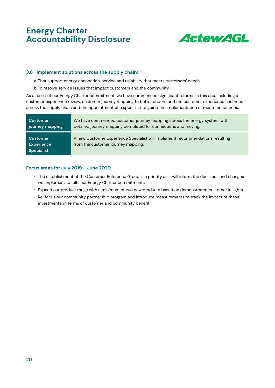

#### **3.6 Implement solutions across the supply chain:**

a. That support energy connection, service and reliability that meets customers' needs

b.To resolve service issues that impact customers and the community.

As a result of our Energy Charter commitment, we have commenced significant reforms in this area including a customer experience review, customer journey mapping to better understand the customer experience and needs across the supply chain and the appointment of a specialist to guide the implementation of recommendations.

| <b>Customer</b>                                    | We have commenced customer journey mapping across the energy system, with                                           |
|----------------------------------------------------|---------------------------------------------------------------------------------------------------------------------|
| journey mapping                                    | detailed journey mapping completed for connections and moving.                                                      |
| <b>Customer</b><br><b>Experience</b><br>Specialist | A new Customer Experience Specialist will implement recommendations resulting<br>from the customer journey mapping. |

#### **Focus areas for July 2019 – June 2020**

- The establishment of the Customer Reference Group is a priority as it will inform the decisions and changes we implement to fulfil our Energy Charter commitments.
- Expand our product range with a minimum of two new products based on demonstrated customer insights.
- Re-focus our community partnership program and introduce measurements to track the impact of these investments, in terms of customer and community benefit.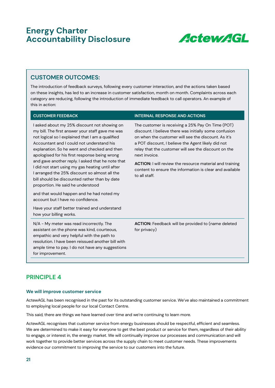

### **CUSTOMER OUTCOMES:**

The introduction of feedback surveys, following every customer interaction, and the actions taken based on these insights, has led to an increase in customer satisfaction, month on month. Complaints across each category are reducing, following the introduction of immediate feedback to call operators. An example of this in action:

I asked about my 25% discount not showing on my bill. The first answer your staff gave me was not logical so I explained that I am a qualified Accountant and I could not understand his explanation. So he went and checked and then apologised for his first response being wrong and gave another reply. I asked that he note that I did not start using my gas heating until after I arranged the 25% discount so almost all the bill should be discounted rather than by date proportion. He said he understood

and that would happen and he had noted my account but I have no confidence.

Have your staff better trained and understand how your billing works.

N/A - My meter was read incorrectly. The assistant on the phone was kind, courteous, empathic and very helpful with the path to resolution. I have been reissued another bill with ample time to pay. I do not have any suggestions

#### **CUSTOMER FEEDBACK INTERNAL RESPONSE AND ACTIONS**

The customer is receiving a 25% Pay On Time (POT) discount. I believe there was initially some confusion on when the customer will see the discount. As it's a POT discount, I believe the Agent likely did not relay that the customer will see the discount on the next invoice.

**ACTION:** I will review the resource material and training content to ensure the information is clear and available to all staff.

**ACTION:** Feedback will be provided to (name deleted for privacy)

### **PRINCIPLE 4**

for improvement.

#### **We will improve customer service**

ActewAGL has been recognised in the past for its outstanding customer service. We've also maintained a commitment to employing local people for our local Contact Centre.

This said, there are things we have learned over time and we're continuing to learn more.

ActewAGL recognises that customer service from energy businesses should be respectful, efficient and seamless. We are determined to make it easy for everyone to get the best product or service for them, regardless of their ability to engage, or interest in, the energy market. We will continually improve our processes and communication and will work together to provide better services across the supply chain to meet customer needs. These improvements evidence our commitment to improving the service to our customers into the future.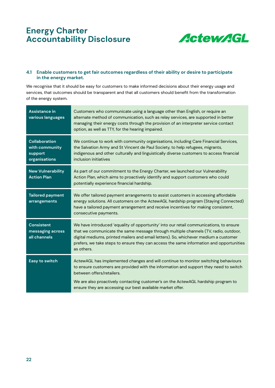

#### **4.1 Enable customers to get fair outcomes regardless of their ability or desire to participate in the energy market.**

We recognise that it should be easy for customers to make informed decisions about their energy usage and services, that outcomes should be transparent and that all customers should benefit from the transformation of the energy system.

| Assistance in<br>various languages                                 | Customers who communicate using a language other than English, or require an<br>alternate method of communication, such as relay services, are supported in better<br>managing their energy costs through the provision of an interpreter service contact<br>option, as well as TTY, for the hearing impaired.                                                                 |
|--------------------------------------------------------------------|--------------------------------------------------------------------------------------------------------------------------------------------------------------------------------------------------------------------------------------------------------------------------------------------------------------------------------------------------------------------------------|
| <b>Collaboration</b><br>with community<br>support<br>organisations | We continue to work with community organisations, including Care Financial Services,<br>the Salvation Army and St Vincent de Paul Society, to help refugees, migrants,<br>indigenous and other culturally and linguistically diverse customers to access financial<br>inclusion initiatives                                                                                    |
| <b>New Vulnerability</b><br><b>Action Plan</b>                     | As part of our commitment to the Energy Charter, we launched our Vulnerability<br>Action Plan, which aims to proactively identify and support customers who could<br>potentially experience financial hardship.                                                                                                                                                                |
| <b>Tailored payment</b><br>arrangements                            | We offer tailored payment arrangements to assist customers in accessing affordable<br>energy solutions. All customers on the ActewAGL hardship program (Staying Connected)<br>have a tailored payment arrangement and receive incentives for making consistent,<br>consecutive payments.                                                                                       |
| <b>Consistent</b><br>messaging across<br>all channels              | We have introduced 'equality of opportunity' into our retail communications, to ensure<br>that we communicate the same message through multiple channels (TV, radio, outdoor,<br>digital mediums, printed mailers and email letters). So, whichever medium a customer<br>prefers, we take steps to ensure they can access the same information and opportunities<br>as others. |
| <b>Easy to switch</b>                                              | ActewAGL has implemented changes and will continue to monitor switching behaviours<br>to ensure customers are provided with the information and support they need to switch<br>between offers/retailers.<br>We are also proactively contacting customer's on the ActewAGL hardship program to<br>ensure they are accessing our best available market offer.                    |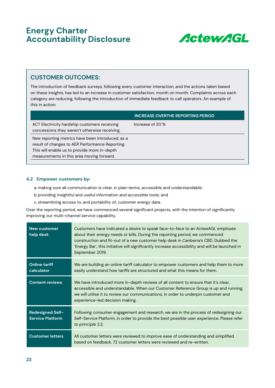

### **CUSTOMER OUTCOMES:**

The introduction of feedback surveys, following every customer interaction, and the actions taken based on these insights, has led to an increase in customer satisfaction, month on month. Complaints across each category are reducing, following the introduction of immediate feedback to call operators. An example of this in action:

|                                                                                                                                                                                                  | <b>INCREASE OVERTHE REPORTING PERIOD</b> |
|--------------------------------------------------------------------------------------------------------------------------------------------------------------------------------------------------|------------------------------------------|
| ACT Electricity hardship customers receiving<br>concessions they weren't otherwise receiving.                                                                                                    | Increase of 20 %                         |
| New reporting metrics have been introduced, as a<br>result of changes to AER Performance Reporting.<br>This will enable us to provide more in-depth<br>measurements in this area moving forward. |                                          |

#### **4.2 Empower customers by:**

a. making sure all communication is clear, in plain terms, accessible and understandable;

- b.providing insightful and useful information and accessible tools; and
- c. streamlining access to, and portability of, customer energy data.

Over the reporting period, we have commenced several significant projects, with the intention of significantly improving our multi-channel service capability.

| <b>New customer</b><br>help desk                   | Customers have indicated a desire to speak face-to-face to an ActewAGL employee<br>about their energy needs or bills. During the reporting period, we commenced<br>construction and fit-out of a new customer help desk in Canberra's CBD. Dubbed the<br>'Energy Bar', this initiative will significantly increase accessibility and will be launched in<br>September 2019. |
|----------------------------------------------------|-----------------------------------------------------------------------------------------------------------------------------------------------------------------------------------------------------------------------------------------------------------------------------------------------------------------------------------------------------------------------------|
| <b>Online tariff</b><br>calculator                 | We are building an online tariff calculator to empower customers and help them to more<br>easily understand how tariffs are structured and what this means for them.                                                                                                                                                                                                        |
| <b>Content reviews</b>                             | We have introduced more in-depth reviews of all content to ensure that it's clear,<br>accessible and understandable. When our Customer Reference Group is up and running,<br>we will utilise it to review our communications, in order to underpin customer and<br>experience-led decision making.                                                                          |
| <b>Redesigned Self-</b><br><b>Service Platform</b> | Following consumer engagement and research, we are in the process of redesigning our<br>Self-Service Platform, in order to provide the best possible user experience. Please refer<br>to principle 2.2.                                                                                                                                                                     |
| <b>Customer letters</b>                            | All customer letters were reviewed to improve ease of understanding and simplified<br>based on feedback. 72 customer letters were reviewed and re-written.                                                                                                                                                                                                                  |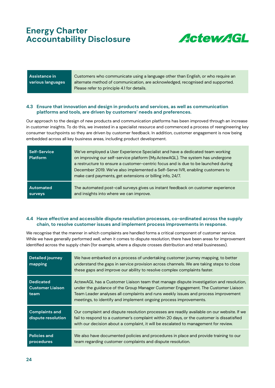

**Assistance in various languages** Customers who communicate using a language other than English, or who require an alternate method of communication, are acknowledged, recognised and supported. Please refer to principle 4.1 for details.

#### **4.3 Ensure that innovation and design in products and services, as well as communication platforms and tools, are driven by customers' needs and preferences.**

Our approach to the design of new products and communication platforms has been improved through an increase in customer insights. To do this, we invested in a specialist resource and commenced a process of reengineering key consumer touchpoints so they are driven by customer feedback. In addition, customer engagement is now being embedded across all key business areas, including product development.

| <b>Self-Service</b><br><b>Platform</b> | We've employed a User Experience Specialist and have a dedicated team working<br>on improving our self-service platform (My.ActewAGL). The system has undergone<br>a restructure to ensure a customer-centric focus and is due to be launched during<br>December 2019. We've also implemented a Self-Serve IVR, enabling customers to<br>make card payments, get extensions or billing info, 24/7. |
|----------------------------------------|----------------------------------------------------------------------------------------------------------------------------------------------------------------------------------------------------------------------------------------------------------------------------------------------------------------------------------------------------------------------------------------------------|
| Automated                              | The automated post-call surveys gives us instant feedback on customer experience                                                                                                                                                                                                                                                                                                                   |
| surveys                                | and insights into where we can improve.                                                                                                                                                                                                                                                                                                                                                            |

#### **4.4 Have effective and accessible dispute resolution processes, co-ordinated across the supply chain, to resolve customer issues and implement process improvements in response.**

We recognise that the manner in which complaints are handled forms a critical component of customer service. While we have generally performed well, when it comes to dispute resolution, there have been areas for improvement identified across the supply chain (for example, where a dispute crosses distribution and retail businesses).

| <b>Detailed journey</b><br>mapping                  | We have embarked on a process of undertaking customer journey mapping, to better<br>understand the gaps in service provision across channels. We are taking steps to close<br>these gaps and improve our ability to resolve complex complaints faster.                                                                                 |
|-----------------------------------------------------|----------------------------------------------------------------------------------------------------------------------------------------------------------------------------------------------------------------------------------------------------------------------------------------------------------------------------------------|
| <b>Dedicated</b><br><b>Customer Liaison</b><br>team | ActewAGL has a Customer Liaison team that manage dispute investigation and resolution,<br>under the guidance of the Group Manager Customer Engagement. The Customer Liaison<br>Team Leader analyses all complaints and runs weekly issues and process improvement<br>meetings, to identify and implement ongoing process improvements. |
| <b>Complaints and</b><br>dispute resolution         | Our complaint and dispute resolution processes are readily available on our website. If we<br>fail to respond to a customer's complaint within 20 days, or the customer is dissatisfied<br>with our decision about a complaint, it will be escalated to management for review.                                                         |
| <b>Policies and</b><br>procedures                   | We also have documented policies and procedures in place and provide training to our<br>team regarding customer complaints and dispute resolution.                                                                                                                                                                                     |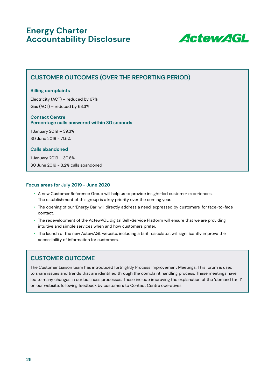

### **CUSTOMER OUTCOMES (OVER THE REPORTING PERIOD)**

#### **Billing complaints**

Electricity (ACT) – reduced by 67% Gas (ACT) – reduced by 63.3%

#### **Contact Centre Percentage calls answered within 30 seconds**

1 January 2019 – 39.3%

30 June 2019 - 71.5%

#### **Calls abandoned**

1 January 2019 – 30.6% 30 June 2019 - 3.2% calls abandoned

#### **Focus areas for July 2019 - June 2020**

- A new Customer Reference Group will help us to provide insight-led customer experiences. The establishment of this group is a key priority over the coming year.
- The opening of our 'Energy Bar' will directly address a need, expressed by customers, for face-to-face contact.
- The redevelopment of the ActewAGL digital Self-Service Platform will ensure that we are providing intuitive and simple services when and how customers prefer.
- The launch of the new ActewAGL website, including a tariff calculator, will significantly improve the accessibility of information for customers.

### **CUSTOMER OUTCOME**

The Customer Liaison team has introduced fortnightly Process Improvement Meetings. This forum is used to share issues and trends that are identified through the complaint handling process. These meetings have led to many changes in our business processes. These include improving the explanation of the 'demand tariff' on our website, following feedback by customers to Contact Centre operatives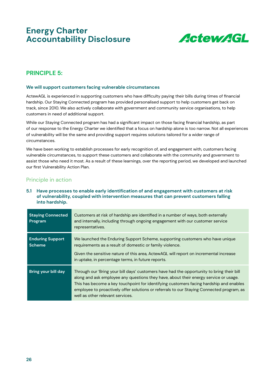

### **PRINCIPLE 5:**

#### **We will support customers facing vulnerable circumstances**

ActewAGL is experienced in supporting customers who have difficulty paying their bills during times of financial hardship. Our Staying Connected program has provided personalised support to help customers get back on track, since 2010. We also actively collaborate with government and community service organisations, to help customers in need of additional support.

While our Staying Connected program has had a significant impact on those facing financial hardship, as part of our response to the Energy Charter we identified that a focus on hardship alone is too narrow. Not all experiences of vulnerability will be the same and providing support requires solutions tailored for a wider range of circumstances.

We have been working to establish processes for early recognition of, and engagement with, customers facing vulnerable circumstances, to support these customers and collaborate with the community and government to assist those who need it most. As a result of these learnings, over the reporting period, we developed and launched our first Vulnerability Action Plan.

### Principle in action

#### **5.1 Have processes to enable early identification of and engagement with customers at risk of vulnerability, coupled with intervention measures that can prevent customers falling into hardship.**

| <b>Staying Connected</b><br>Program      | Customers at risk of hardship are identified in a number of ways, both externally<br>and internally, including through ongoing engagement with our customer service<br>representatives.                                                                                                                                                                                                                      |
|------------------------------------------|--------------------------------------------------------------------------------------------------------------------------------------------------------------------------------------------------------------------------------------------------------------------------------------------------------------------------------------------------------------------------------------------------------------|
| <b>Enduring Support</b><br><b>Scheme</b> | We launched the Enduring Support Scheme, supporting customers who have unique<br>requirements as a result of domestic or family violence.<br>Given the sensitive nature of this area, ActewAGL will report on incremental increase<br>in uptake, in percentage terms, in future reports.                                                                                                                     |
| Bring your bill day                      | Through our 'Bring your bill days' customers have had the opportunity to bring their bill<br>along and ask employee any questions they have, about their energy service or usage.<br>This has become a key touchpoint for identifying customers facing hardship and enables<br>employee to proactively offer solutions or referrals to our Staying Connected program, as<br>well as other relevant services. |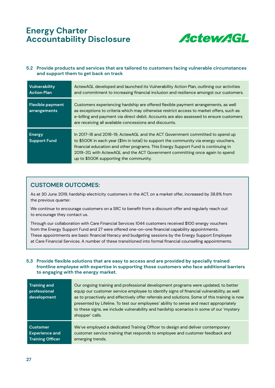

#### **5.2 Provide products and services that are tailored to customers facing vulnerable circumstances and support them to get back on track**

| <b>Vulnerability</b><br><b>Action Plan</b> | ActewAGL developed and launched its Vulnerability Action Plan, outlining our activities<br>and commitment to increasing financial inclusion and resilience amongst our customers.                                                                                                                                                                                                    |
|--------------------------------------------|--------------------------------------------------------------------------------------------------------------------------------------------------------------------------------------------------------------------------------------------------------------------------------------------------------------------------------------------------------------------------------------|
| <b>Flexible payment</b><br>arrangements    | Customers experiencing hardship are offered flexible payment arrangements, as well<br>as exceptions to criteria which may otherwise restrict access to market offers, such as<br>e-billing and payment via direct debit. Accounts are also assessed to ensure customers<br>are receiving all available concessions and discounts.                                                    |
| <b>Energy</b><br><b>Support Fund</b>       | In 2017-18 and 2018-19, ActewAGL and the ACT Government committed to spend up<br>to \$500K in each year (\$1m in total) to support the community via energy vouchers,<br>financial education and other programs. This Energy Support Fund is continuing in<br>2019-20, with ActewAGL and the ACT Government committing once again to spend<br>up to \$500K supporting the community. |

### **CUSTOMER OUTCOMES:**

As at 30 June 2019, hardship electricity customers in the ACT, on a market offer, increased by 38.8% from the previous quarter.

We continue to encourage customers on a SRC to benefit from a discount offer and regularly reach out to encourage they contact us.

Through our collaboration with Care Financial Services 1044 customers received \$100 energy vouchers from the Energy Support Fund and 27 were offered one-on-one financial capability appointments. These appointments are basic financial literacy and budgeting sessions by the Energy Support Employee at Care Financial Services. A number of these transitioned into formal financial counselling appointments.

#### **5.3 Provide flexible solutions that are easy to access and are provided by specially trained frontline employee with expertise in supporting those customers who face additional barriers to engaging with the energy market.**

| <b>Training and</b><br>professional<br>development | Our ongoing training and professional development programs were updated, to better<br>equip our customer service employee to identify signs of financial vulnerability, as well<br>as to proactively and effectively offer referrals and solutions. Some of this training is now<br>presented by Lifeline. To test our employees' ability to sense and react appropriately<br>to these signs, we include vulnerability and hardship scenarios in some of our 'mystery<br>shopper' calls. |
|----------------------------------------------------|------------------------------------------------------------------------------------------------------------------------------------------------------------------------------------------------------------------------------------------------------------------------------------------------------------------------------------------------------------------------------------------------------------------------------------------------------------------------------------------|
| <b>Customer</b>                                    | We've employed a dedicated Training Officer to design and deliver contemporary                                                                                                                                                                                                                                                                                                                                                                                                           |
| <b>Experience and</b>                              | customer service training that responds to employee and customer feedback and                                                                                                                                                                                                                                                                                                                                                                                                            |
| <b>Training Officer</b>                            | emerging trends.                                                                                                                                                                                                                                                                                                                                                                                                                                                                         |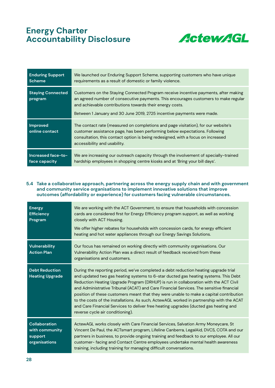

| <b>Enduring Support</b>             | We launched our Enduring Support Scheme, supporting customers who have unique                                                                                                                                                                                                                                    |
|-------------------------------------|------------------------------------------------------------------------------------------------------------------------------------------------------------------------------------------------------------------------------------------------------------------------------------------------------------------|
| <b>Scheme</b>                       | requirements as a result of domestic or family violence.                                                                                                                                                                                                                                                         |
| <b>Staying Connected</b><br>program | Customers on the Staying Connected Program receive incentive payments, after making<br>an agreed number of consecutive payments. This encourages customers to make regular<br>and achievable contributions towards their energy costs.<br>Between 1 January and 30 June 2019, 2725 incentive payments were made. |
| Improved<br>online contact          | The contact rate (measured on completions and page visitation), for our website's<br>customer assistance page, has been performing below expectations. Following<br>consultation, this contact option is being redesigned, with a focus on increased<br>accessibility and usability.                             |
| Increased face-to-                  | We are increasing our outreach capacity through the involvement of specially-trained                                                                                                                                                                                                                             |
| face capacity                       | hardship employees in shopping centre kiosks and at 'Bring your bill days'.                                                                                                                                                                                                                                      |

#### **5.4 Take a collaborative approach, partnering across the energy supply chain and with government and community service organisations to implement innovative solutions that improve outcomes (affordability or experience) for customers facing vulnerable circumstances.**

| <b>Energy</b><br><b>Efficiency</b><br>Program                      | We are working with the ACT Government, to ensure that households with concession<br>cards are considered first for Energy Efficiency program support, as well as working<br>closely with ACT Housing.<br>We offer higher rebates for households with concession cards, for energy efficient<br>heating and hot water appliances through our Energy Savings Solutions.                                                                                                                                                                                                                                                                                                          |
|--------------------------------------------------------------------|---------------------------------------------------------------------------------------------------------------------------------------------------------------------------------------------------------------------------------------------------------------------------------------------------------------------------------------------------------------------------------------------------------------------------------------------------------------------------------------------------------------------------------------------------------------------------------------------------------------------------------------------------------------------------------|
| <b>Vulnerability</b><br><b>Action Plan</b>                         | Our focus has remained on working directly with community organisations. Our<br>Vulnerability Action Plan was a direct result of feedback received from these<br>organisations and customers.                                                                                                                                                                                                                                                                                                                                                                                                                                                                                   |
| <b>Debt Reduction</b><br><b>Heating Upgrade</b>                    | During the reporting period, we've completed a debt reduction heating upgrade trial<br>and updated two gas heating systems to 6-star ducted gas heating systems. This Debt<br>Reduction Heating Upgrade Program (DRHUP) is run in collaboration with the ACT Civil<br>and Administrative Tribunal (ACAT) and Care Financial Services. The sensitive financial<br>position of these customers meant that they were unable to make a capital contribution<br>to the costs of the installations. As such, ActewAGL worked in partnership with the ACAT<br>and Care Financial Services to deliver free heating upgrades (ducted gas heating and<br>reverse cycle air conditioning). |
| <b>Collaboration</b><br>with community<br>support<br>organisations | ActewAGL works closely with Care Financial Services, Salvation Army Moneycare, St<br>Vincent De Paul, the ACTsmart program, Lifeline Canberra, LegalAid, DVCS, COTA and our<br>partners in business, to provide ongoing training and feedback to our employee. All our<br>customer-facing and Contact Centre employees undertake mental health awareness<br>training, including training for managing difficult conversations.                                                                                                                                                                                                                                                  |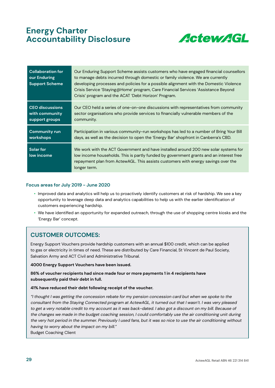

| <b>Collaboration for</b><br>our Enduring<br><b>Support Scheme</b> | Our Enduring Support Scheme assists customers who have engaged financial counsellors<br>to manage debts incurred through domestic or family violence. We are currently<br>developing processes and policies for a possible alignment with the Domestic Violence<br>Crisis Service 'Staying@Home' program, Care Financial Services 'Assistance Beyond<br>Crisis' program and the ACAT 'Debt Horizon' Program. |
|-------------------------------------------------------------------|--------------------------------------------------------------------------------------------------------------------------------------------------------------------------------------------------------------------------------------------------------------------------------------------------------------------------------------------------------------------------------------------------------------|
| <b>CEO discussions</b>                                            | Our CEO held a series of one-on-one discussions with representatives from community                                                                                                                                                                                                                                                                                                                          |
| with community                                                    | sector organisations who provide services to financially vulnerable members of the                                                                                                                                                                                                                                                                                                                           |
| support groups                                                    | community.                                                                                                                                                                                                                                                                                                                                                                                                   |
| <b>Community run</b>                                              | Participation in various community-run workshops has led to a number of Bring Your Bill                                                                                                                                                                                                                                                                                                                      |
| workshops                                                         | days, as well as the decision to open the 'Energy Bar' shopfront in Canberra's CBD.                                                                                                                                                                                                                                                                                                                          |
| <b>Solar for</b><br>low income                                    | We work with the ACT Government and have installed around 200 new solar systems for<br>low income households. This is partly funded by government grants and an interest free<br>repayment plan from ActewAGL. This assists customers with energy savings over the<br>longer term.                                                                                                                           |

#### **Focus areas for July 2019 - June 2020**

- Improved data and analytics will help us to proactively identify customers at risk of hardship. We see a key opportunity to leverage deep data and analytics capabilities to help us with the earlier identification of customers experiencing hardship.
- We have identified an opportunity for expanded outreach, through the use of shopping centre kiosks and the 'Energy Bar' concept.

### **CUSTOMER OUTCOMES:**

Energy Support Vouchers provide hardship customers with an annual \$100 credit, which can be applied to gas or electricity in times of need. These are distributed by Care Financial, St Vincent de Paul Society, Salvation Army and ACT Civil and Administrative Tribunal.

**4000 Energy Support Vouchers have been issued.**

**86% of voucher recipients had since made four or more payments 1 in 4 recipients have subsequently paid their debt in full.**

#### **41% have reduced their debt following receipt of the voucher.**

"I thought I was getting the concession rebate for my pension concession card but when we spoke to the consultant from the Staying Connected program at ActewAGL, it turned out that I wasn't. I was very pleased to get a very notable credit to my account as it was back-dated. I also got a discount on my bill. Because of the changes we made in the budget coaching session, I could comfortably use the air conditioning unit during the very hot period in the summer. Previously I used fans, but it was so nice to use the air conditioning without having to worry about the impact on my bill."

Budget Coaching Client